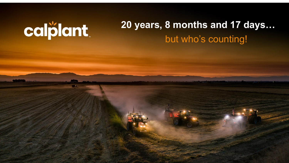# calplant.

# **20 years, 8 months and 17 days…** but who's counting!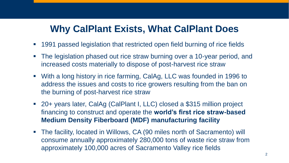## **Why CalPlant Exists, What CalPlant Does**

- 1991 passed legislation that restricted open field burning of rice fields
- The legislation phased out rice straw burning over a 10-year period, and increased costs materially to dispose of post-harvest rice straw
- With a long history in rice farming, CalAg, LLC was founded in 1996 to address the issues and costs to rice growers resulting from the ban on the burning of post-harvest rice straw
- 20+ years later, CalAg (CalPlant I, LLC) closed a \$315 million project financing to construct and operate the **world's first rice straw-based Medium Density Fiberboard (MDF) manufacturing facility**
- The facility, located in Willows, CA (90 miles north of Sacramento) will consume annually approximately 280,000 tons of waste rice straw from approximately 100,000 acres of Sacramento Valley rice fields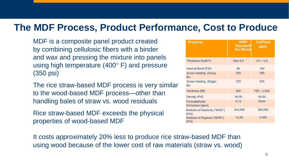#### **The MDF Process, Product Performance, Cost to Produce**

MDF is a composite panel product created by combining cellulosic fibers with a binder and wax and pressing the mixture into panels using high temperature (400° F) and pressure (350 psi)

The rice straw-based MDF process is very similar to the wood-based MDF process—other than handling bales of straw vs. wood residuals

Rice straw-based MDF exceeds the physical properties of wood-based MDF

| <b>Property</b>                        | <b>ANSI</b><br><b>Standard</b><br>for Wood | <b>CalPlant</b><br><b>MDF</b> |
|----------------------------------------|--------------------------------------------|-------------------------------|
| Thickness Swell %                      | Max 8.0                                    | $3.0 - 5.0$                   |
| Internal Bond (PSI)                    | 80                                         | 140                           |
| Screw Holding (Face)<br><b>lbs</b>     | 300                                        | 395                           |
| Screw Holding (Edge)<br><b>lbs</b>     | 225                                        | 325                           |
| Hardness (lbf)                         | 500                                        | $700 - 1,500$                 |
| Density (Pcf)                          | 40-50                                      | 40-50                         |
| Formaldehyde<br>Emissions (ppm)        | 0.11                                       | <b>None</b>                   |
| Modulus of Elasticity ("MOE")<br>(PSI) | 313,000                                    | 450,000                       |
| Modulus of Rupture ("MOR")<br>(PSI)    | 3,130                                      | 4,500                         |

It costs approximately 20% less to produce rice straw-based MDF than using wood because of the lower cost of raw materials (straw vs. wood)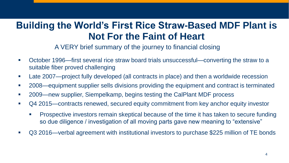## **Building the World's First Rice Straw-Based MDF Plant is Not For the Faint of Heart**

#### A VERY brief summary of the journey to financial closing

- October 1996—first several rice straw board trials unsuccessful—converting the straw to a suitable fiber proved challenging
- Late 2007—project fully developed (all contracts in place) and then a worldwide recession
- 2008—equipment supplier sells divisions providing the equipment and contract is terminated
- 2009—new supplier, Siempelkamp, begins testing the CalPlant MDF process
- Q4 2015—contracts renewed, secured equity commitment from key anchor equity investor
	- Prospective investors remain skeptical because of the time it has taken to secure funding so due diligence / investigation of all moving parts gave new meaning to "extensive"
- Q3 2016—verbal agreement with institutional investors to purchase \$225 million of TE bonds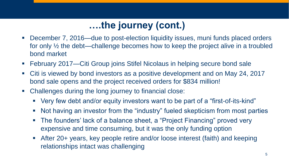## **….the journey (cont.)**

- December 7, 2016—due to post-election liquidity issues, muni funds placed orders for only ½ the debt—challenge becomes how to keep the project alive in a troubled bond market
- February 2017—Citi Group joins Stifel Nicolaus in helping secure bond sale
- Citi is viewed by bond investors as a positive development and on May 24, 2017 bond sale opens and the project received orders for \$834 million!
- Challenges during the long journey to financial close:
	- Very few debt and/or equity investors want to be part of a "first-of-its-kind"
	- Not having an investor from the "industry" fueled skepticism from most parties
	- The founders' lack of a balance sheet, a "Project Financing" proved very expensive and time consuming, but it was the only funding option
	- **EXTER** After 20+ years, key people retire and/or loose interest (faith) and keeping relationships intact was challenging